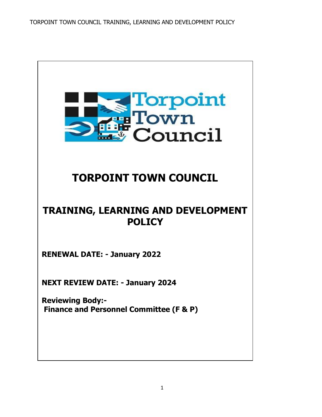TORPOINT TOWN COUNCIL TRAINING, LEARNING AND DEVELOPMENT POLICY